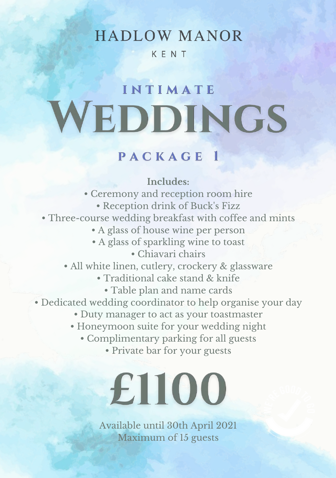## **HADLOW MANOR**

#### KENT

## INTIMATE WEDDINGS

## PACKAGE 1

#### **Includes:**

• Ceremony and reception room hire • Reception drink of Buck's Fizz • Three-course wedding breakfast with coffee and mints • A glass of house wine per person • A glass of sparkling wine to toast • Chiavari chairs • All white linen, cutlery, crockery & glassware

- Traditional cake stand & knife
	- Table plan and name cards
- Dedicated wedding coordinator to help organise your day
	- Duty manager to act as your toastmaster
	- Honeymoon suite for your wedding night
		- Complimentary parking for all guests
			- Private bar for your guests

# £1100

Available until 30th April 2021 Maximum of 15 guests